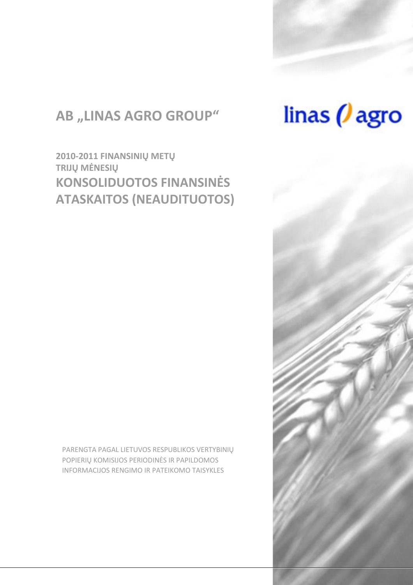## **AB "LINAS AGRO GROUP"**

2010-2011 FINANSINIU METU TRIJŲ MĖNESIŲ **KONSOLIDUOTOS FINANSINĖS ATASKAITOS (NEAUDITUOTOS)** 

PARENGTA PAGAL LIETUVOS RESPUBLIKOS VERTYBINIŲ POPIERIU KOMISIJOS PERIODINĖS IR PAPILDOMOS INFORMACIJOS RENGIMO IR PATEIKOMO TAISYKLES

# linas  $\theta$  agro

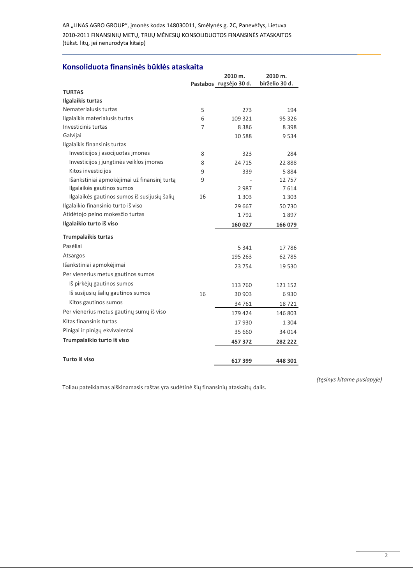AB "LINAS AGRO GROUP", įmonės kodas 148030011, Smėlynės g. 2C, Panevėžys, Lietuva 2010-2011 FINANSINIŲ METŲ, TRIJŲ MĖNESIŲ KONSOLIDUOTOS FINANSINĖS ATASKAITOS (tūkst. litų, jei nenurodyta kitaip)

#### Konsoliduota finansinės būklės ataskaita

|                                              |    | 2010 m.                | 2010 m.        |
|----------------------------------------------|----|------------------------|----------------|
|                                              |    | Pastabos rugsėjo 30 d. | birželio 30 d. |
| <b>TURTAS</b>                                |    |                        |                |
| Ilgalaikis turtas                            |    |                        |                |
| Nematerialusis turtas                        | 5  | 273                    | 194            |
| Ilgalaikis materialusis turtas               | 6  | 109 321                | 95 326         |
| Investicinis turtas                          | 7  | 8386                   | 8 3 9 8        |
| Galvijai                                     |    | 10 588                 | 9534           |
| Ilgalaikis finansinis turtas                 |    |                        |                |
| Investicijos į asocijuotas įmones            | 8  | 323                    | 284            |
| Investicijos į jungtinės veiklos įmones      | 8  | 24 715                 | 22888          |
| Kitos investicijos                           | 9  | 339                    | 5884           |
| Išankstiniai apmokėjimai už finansinį turtą  | 9  |                        | 12757          |
| Ilgalaikės gautinos sumos                    |    | 2987                   | 7614           |
| Ilgalaikės gautinos sumos iš susijusių šalių | 16 | 1 3 0 3                | 1 3 0 3        |
| Ilgalaikio finansinio turto iš viso          |    | 29 667                 | 50730          |
| Atidėtojo pelno mokesčio turtas              |    | 1792                   | 1897           |
| Ilgalaikio turto iš viso                     |    | 160 027                | 166 079        |
| <b>Trumpalaikis turtas</b>                   |    |                        |                |
| Pasėliai                                     |    | 5 3 4 1                | 17 786         |
| Atsargos                                     |    | 195 263                | 62 785         |
| Išankstiniai apmokėjimai                     |    | 23 754                 | 19 530         |
| Per vienerius metus gautinos sumos           |    |                        |                |
| Iš pirkėjų gautinos sumos                    |    | 113 760                | 121 152        |
| Iš susijusių šalių gautinos sumos            | 16 | 30 903                 | 6930           |
| Kitos gautinos sumos                         |    | 34 761                 | 18721          |
| Per vienerius metus gautinų sumų iš viso     |    | 179 424                | 146 803        |
| Kitas finansinis turtas                      |    | 17930                  | 1 3 0 4        |
| Pinigai ir pinigų ekvivalentai               |    | 35 660                 | 34 014         |
| Trumpalaikio turto iš viso                   |    | 457 372                | 282 222        |
| Turto iš viso                                |    | 617399                 | 448 301        |

Toliau pateikiamas aiškinamasis raštas yra sudėtinė šių finansinių ataskaitų dalis.

(tęsinys kitame puslapyje)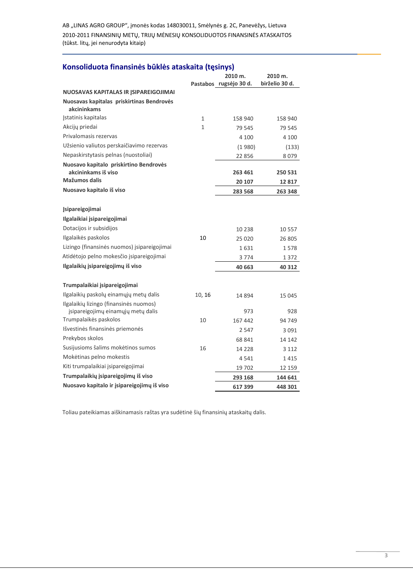AB "LINAS AGRO GROUP", įmonės kodas 148030011, Smėlynės g. 2C, Panevėžys, Lietuva 2010-2011 FINANSINIŲ METŲ, TRIJŲ MĖNESIŲ KONSOLIDUOTOS FINANSINĖS ATASKAITOS (tūkst. litų, jei nenurodyta kitaip)

#### Konsoliduota finansinės būklės ataskaita (tęsinys)

|                                                                              |        | 2010 m.<br>Pastabos rugsėjo 30 d. | 2010 m.<br>birželio 30 d. |
|------------------------------------------------------------------------------|--------|-----------------------------------|---------------------------|
| NUOSAVAS KAPITALAS IR JSIPAREIGOJIMAI                                        |        |                                   |                           |
| Nuosavas kapitalas priskirtinas Bendrovės<br>akcininkams                     |        |                                   |                           |
| Istatinis kapitalas                                                          | 1      | 158 940                           | 158 940                   |
| Akcijų priedai                                                               | 1      | 79 545                            | 79 545                    |
| Privalomasis rezervas                                                        |        | 4 100                             | 4 100                     |
| Užsienio valiutos perskaičiavimo rezervas                                    |        | (1980)                            | (133)                     |
| Nepaskirstytasis pelnas (nuostoliai)                                         |        | 22 856                            | 8 0 7 9                   |
| Nuosavo kapitalo priskirtino Bendrovės<br>akcininkams iš viso                |        | 263 461                           | 250 531                   |
| Mažumos dalis                                                                |        | 20 107                            | 12817                     |
| Nuosavo kapitalo iš viso                                                     |        | 283 568                           | 263 348                   |
| <b>Įsipareigojimai</b><br>Ilgalaikiai įsipareigojimai                        |        |                                   |                           |
| Dotacijos ir subsidijos                                                      |        |                                   |                           |
| Ilgalaikės paskolos                                                          | 10     | 10 238                            | 10 5 57                   |
| Lizingo (finansinės nuomos) įsipareigojimai                                  |        | 25 0 20                           | 26 805                    |
| Atidėtojo pelno mokesčio įsipareigojimai                                     |        | 1 631                             | 1578                      |
| Ilgalaikių įsipareigojimų iš viso                                            |        | 3 774                             | 1 372                     |
|                                                                              |        | 40 663                            | 40 312                    |
| Trumpalaikiai įsipareigojimai                                                |        |                                   |                           |
| Ilgalaikių paskolų einamųjų metų dalis                                       | 10, 16 | 14 894                            | 15 045                    |
| Ilgalaikių lizingo (finansinės nuomos)<br>įsipareigojimų einamųjų metų dalis |        | 973                               | 928                       |
| Trumpalaikės paskolos                                                        | 10     | 167 442                           | 94 749                    |
| Išvestinės finansinės priemonės                                              |        | 2 5 4 7                           | 3 0 9 1                   |
| Prekybos skolos                                                              |        | 68 841                            | 14 142                    |
| Susijusioms šalims mokėtinos sumos                                           | 16     | 14 2 28                           | 3 1 1 2                   |
| Mokėtinas pelno mokestis                                                     |        | 4541                              | 1415                      |
| Kiti trumpalaikiai įsipareigojimai                                           |        | 19 702                            | 12 159                    |
| Trumpalaikių įsipareigojimų iš viso                                          |        | 293 168                           | 144 641                   |
| Nuosavo kapitalo ir įsipareigojimų iš viso                                   |        | 617399                            | 448 301                   |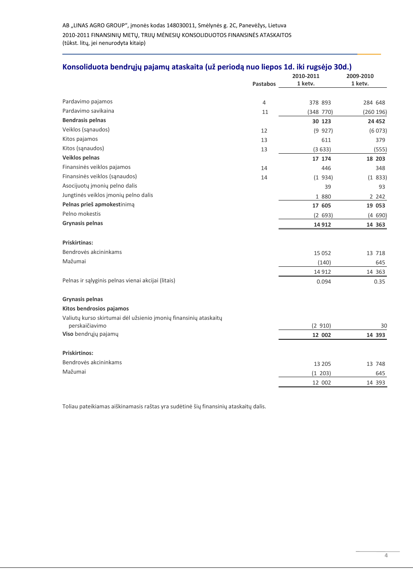|                                                                                    |                 | 2010-2011 | 2009-2010 |  |
|------------------------------------------------------------------------------------|-----------------|-----------|-----------|--|
|                                                                                    | <b>Pastabos</b> | 1 ketv.   | 1 ketv.   |  |
| Pardavimo pajamos                                                                  |                 |           |           |  |
| Pardavimo savikaina                                                                | $\overline{4}$  | 378 893   | 284 648   |  |
| <b>Bendrasis pelnas</b>                                                            | 11              | (348 770) | (260 196) |  |
| Veiklos (sąnaudos)                                                                 |                 | 30 123    | 24 4 52   |  |
| Kitos pajamos                                                                      | 12              | (9 927)   | (6073)    |  |
|                                                                                    | 13              | 611       | 379       |  |
| Kitos (sąnaudos)                                                                   | 13              | (3633)    | (555)     |  |
| Veiklos pelnas                                                                     |                 | 17 174    | 18 203    |  |
| Finansinės veiklos pajamos                                                         | 14              | 446       | 348       |  |
| Finansinės veiklos (sąnaudos)                                                      | 14              | (1934)    | (1833)    |  |
| Asocijuotų įmonių pelno dalis                                                      |                 | 39        | 93        |  |
| Jungtinės veiklos jmonių pelno dalis                                               |                 | 1 880     | 2 2 4 2   |  |
| Pelnas prieš apmokestinimą                                                         |                 | 17 605    | 19 053    |  |
| Pelno mokestis                                                                     |                 | (2 693)   | (4690)    |  |
| <b>Grynasis pelnas</b>                                                             |                 | 14 9 12   | 14 363    |  |
| <b>Priskirtinas:</b>                                                               |                 |           |           |  |
| Bendrovės akcininkams                                                              |                 | 15 0 52   | 13 718    |  |
| Mažumai                                                                            |                 | (140)     | 645       |  |
|                                                                                    |                 | 14 9 12   | 14 363    |  |
| Pelnas ir sąlyginis pelnas vienai akcijai (litais)                                 |                 | 0.094     | 0.35      |  |
| <b>Grynasis pelnas</b>                                                             |                 |           |           |  |
| Kitos bendrosios pajamos                                                           |                 |           |           |  |
| Valiutų kurso skirtumai dėl užsienio įmonių finansinių ataskaitų<br>perskaičiavimo |                 | (2 910)   | 30        |  |
| Viso bendrųjų pajamų                                                               |                 | 12 002    | 14 393    |  |
|                                                                                    |                 |           |           |  |
| <b>Priskirtinos:</b>                                                               |                 |           |           |  |
| Bendrovės akcininkams                                                              |                 | 13 205    | 13 748    |  |
| Mažumai                                                                            |                 | (1 203)   | 645       |  |
|                                                                                    |                 | 12 002    | 14 393    |  |
|                                                                                    |                 |           |           |  |

#### Konsoliduota bendrųjų pajamų ataskaita (už periodą nuo liepos 1d. iki rugsėjo 30d.)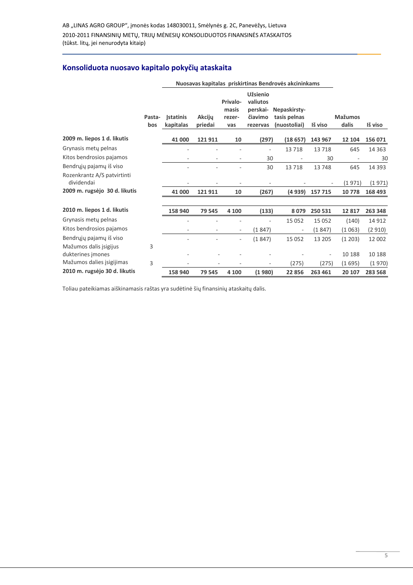### Konsoliduota nuosavo kapitalo pokyčių ataskaita

|                                             |               | Nuosavas kapitalas priskirtinas Bendrovės akcininkams |                          |                                    |                                                                |                                              |         |                         |          |
|---------------------------------------------|---------------|-------------------------------------------------------|--------------------------|------------------------------------|----------------------------------------------------------------|----------------------------------------------|---------|-------------------------|----------|
|                                             | Pasta-<br>bos | <b>Istatinis</b><br>kapitalas                         | <b>Akcijy</b><br>priedai | Privalo-<br>masis<br>rezer-<br>vas | <b>Užsienio</b><br>valiutos<br>perskai-<br>čiavimo<br>rezervas | Nepaskirsty-<br>tasis pelnas<br>(nuostoliai) | Iš viso | <b>Mažumos</b><br>dalis | Iš viso  |
| 2009 m. liepos 1 d. likutis                 |               | 41 000                                                | 121911                   | 10                                 | (297)                                                          | (18657)                                      | 143 967 | 12 104                  | 156 071  |
| Grynasis mety pelnas                        |               |                                                       |                          |                                    |                                                                | 13718                                        | 13718   | 645                     | 14 3 6 3 |
| Kitos bendrosios pajamos                    |               |                                                       |                          | $\overline{\phantom{0}}$           | 30                                                             |                                              | 30      |                         | 30       |
| Bendrųjų pajamų iš viso                     |               |                                                       |                          |                                    | 30                                                             | 13718                                        | 13748   | 645                     | 14 3 93  |
| Rozenkrantz A/S patvirtinti<br>dividendai   |               |                                                       |                          |                                    |                                                                |                                              |         | (1971)                  | (1971)   |
| 2009 m. rugsėjo 30 d. likutis               |               | 41 000                                                | 121911                   | 10                                 | (267)                                                          | (4939)                                       | 157 715 | 10778                   | 168 493  |
| 2010 m. liepos 1 d. likutis                 |               | 158 940                                               | 79 545                   | 4 100                              | (133)                                                          | 8079                                         | 250 531 | 12817                   | 263 348  |
| Grynasis mety pelnas                        |               |                                                       |                          |                                    |                                                                | 15 0 52                                      | 15 0 52 | (140)                   | 14 9 12  |
| Kitos bendrosios pajamos                    |               |                                                       |                          | $\overline{\phantom{a}}$           | (1847)                                                         | $\overline{\phantom{a}}$                     | (1847)  | (1063)                  | (2910)   |
| Bendrųjų pajamų iš viso                     |               |                                                       |                          |                                    | (1847)                                                         | 15 0 52                                      | 13 205  | (1 203)                 | 12 002   |
| Mažumos dalis įsigijus<br>dukterines jmones | 3             |                                                       |                          |                                    |                                                                |                                              |         | 10 188                  | 10 188   |
| Mažumos dalies įsigijimas                   | 3             |                                                       |                          |                                    |                                                                | (275)                                        | (275)   | (1 695)                 | (1970)   |
| 2010 m. rugsėjo 30 d. likutis               |               | 158 940                                               | 79 545                   | 4 100                              | (1980)                                                         | 22 856                                       | 263 461 | 20 107                  | 283 568  |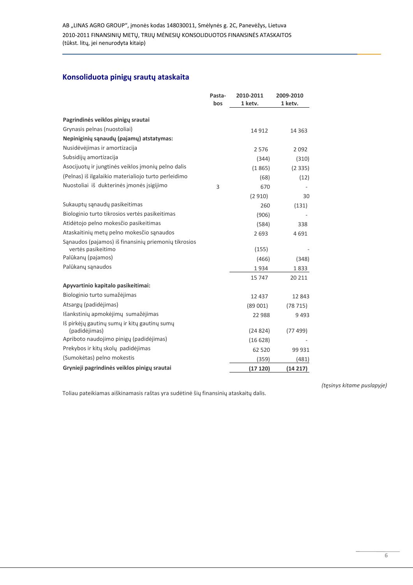#### Konsoliduota pinigų srautų ataskaita

|                                                               | Pasta- | 2010-2011 | 2009-2010 |
|---------------------------------------------------------------|--------|-----------|-----------|
|                                                               | bos    | 1 ketv.   | 1 ketv.   |
| Pagrindinės veiklos pinigų srautai                            |        |           |           |
| Grynasis pelnas (nuostoliai)                                  |        | 14 9 12   | 14 3 6 3  |
| Nepiniginių sąnaudų (pajamų) atstatymas:                      |        |           |           |
| Nusidėvėjimas ir amortizacija                                 |        | 2576      | 2092      |
| Subsidijų amortizacija                                        |        | (344)     | (310)     |
| Asocijuotų ir jungtinės veiklos įmonių pelno dalis            |        | (1865)    | (2335)    |
| (Pelnas) iš ilgalaikio materialiojo turto perleidimo          |        | (68)      | (12)      |
| Nuostoliai iš dukterinės įmonės įsigijimo                     | 3      | 670       |           |
|                                                               |        | (2910)    | 30        |
| Sukauptų sąnaudų pasikeitimas                                 |        | 260       | (131)     |
| Biologinio turto tikrosios vertės pasikeitimas                |        | (906)     |           |
| Atidėtojo pelno mokesčio pasikeitimas                         |        | (584)     | 338       |
| Ataskaitinių metų pelno mokesčio sąnaudos                     |        | 2693      | 4691      |
| Sąnaudos (pajamos) iš finansinių priemonių tikrosios          |        |           |           |
| vertės pasikeitimo                                            |        | (155)     |           |
| Palūkanų (pajamos)                                            |        | (466)     | (348)     |
| Palūkanų sąnaudos                                             |        | 1934      | 1833      |
|                                                               |        | 15 747    | 20 211    |
| Apyvartinio kapitalo pasikeitimai:                            |        |           |           |
| Biologinio turto sumažėjimas                                  |        | 12 4 3 7  | 12843     |
| Atsargų (padidėjimas)                                         |        | (89001)   | (78715)   |
| Išankstinių apmokėjimų sumažėjimas                            |        | 22 988    | 9493      |
| Iš pirkėjų gautinų sumų ir kitų gautinų sumų<br>(padidėjimas) |        | (24824)   | (77499)   |
| Apriboto naudojimo pinigų (padidėjimas)                       |        | (16628)   |           |
| Prekybos ir kitų skolų padidėjimas                            |        |           |           |
| (Sumokėtas) pelno mokestis                                    |        | 62 520    | 99 931    |
|                                                               |        | (359)     | (481)     |
| Grynieji pagrindinės veiklos pinigų srautai                   |        | (17120)   | (14217)   |

Toliau pateikiamas aiškinamasis raštas yra sudėtinė šių finansinių ataskaitų dalis.

(tęsinys kitame puslapyje)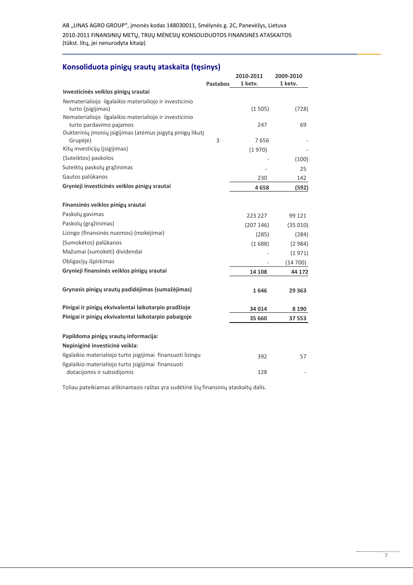AB "LINAS AGRO GROUP", įmonės kodas 148030011, Smėlynės g. 2C, Panevėžys, Lietuva 2010-2011 FINANSINIŲ METŲ, TRIJŲ MĖNESIŲ KONSOLIDUOTOS FINANSINĖS ATASKAITOS (tūkst. litų, jei nenurodyta kitaip)

#### Konsoliduota pinigų srautų ataskaita (tęsinys)

|                                                                                       |                 | 2010-2011 | 2009-2010 |
|---------------------------------------------------------------------------------------|-----------------|-----------|-----------|
|                                                                                       | <b>Pastabos</b> | 1 ketv.   | 1 ketv.   |
| Investicinės veiklos pinigų srautai                                                   |                 |           |           |
| Nematerialiojo ilgalaikio materialiojo ir investicinio                                |                 |           |           |
| turto ( <i>jsigijimas</i> )<br>Nematerialiojo ilgalaikio materialiojo ir investicinio |                 | (1505)    | (728)     |
| turto pardavimo pajamos                                                               |                 | 247       | 69        |
| Dukterinių įmonių įsigijimas (atėmus įsigytą pinigų likutį                            |                 |           |           |
| Grupėje)                                                                              | 3               | 7656      |           |
| Kitų investicijų (įsigijimas)                                                         |                 | (1970)    |           |
| (Suteiktos) paskolos                                                                  |                 |           | (100)     |
| Suteiktų paskolų grąžinimas                                                           |                 |           | 25        |
| Gautos palūkanos                                                                      |                 | 230       | 142       |
| Grynieji investicinės veiklos pinigų srautai                                          |                 | 4658      | (592)     |
| Finansinės veiklos pinigų srautai                                                     |                 |           |           |
| Paskolų gavimas                                                                       |                 | 223 227   | 99 121    |
| Paskolų (grąžinimas)                                                                  |                 | (207146)  | (35010)   |
| Lizingo (finansinės nuomos) (mokėjimai)                                               |                 | (285)     | (284)     |
| (Sumokėtos) palūkanos                                                                 |                 | (1688)    | (2984)    |
| Mažumai (sumokėti) dividendai                                                         |                 |           | (1971)    |
| Obligacijų išpirkimas                                                                 |                 |           | (14700)   |
| Grynieji finansinės veiklos pinigų srautai                                            |                 | 14 108    | 44 172    |
|                                                                                       |                 |           |           |
| Grynasis pinigų srautų padidėjimas (sumažėjimas)                                      |                 | 1646      | 29 3 63   |
| Pinigai ir pinigų ekvivalentai laikotarpio pradžioje                                  |                 | 34 014    | 8 1 9 0   |
| Pinigai ir pinigų ekvivalentai laikotarpio pabaigoje                                  |                 | 35 660    | 37 553    |
| Papildoma pinigų srautų informacija:                                                  |                 |           |           |
| Nepiniginė investicinė veikla:                                                        |                 |           |           |
| Ilgalaikio materialiojo turto įsigijimai finansuoti lizingu                           |                 | 392       | 57        |
| Ilgalaikio materialiojo turto įsigijimai finansuoti                                   |                 |           |           |
| dotacijomis ir subsidijomis                                                           |                 | 128       |           |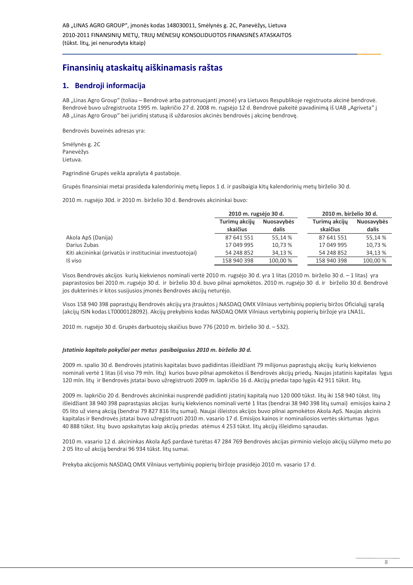## Finansinių ataskaitų aiškinamasis raštas

#### 1. Bendroii informaciia

AB "Linas Agro Group" (toliau - Bendrovė arba patronuojanti jmonė) yra Lietuvos Respublikoje registruota akcinė bendrovė. Bendrovė buvo užregistruota 1995 m. lapkričio 27 d. 2008 m. rugsėjo 12 d. Bendrovė pakeitė pavadinimą iš UAB "Agriveta" į AB "Linas Agro Group" bei juridinį statusą iš uždarosios akcinės bendrovės į akcinę bendrovę.

Bendrovės buveinės adresas yra:

Smėlynės g. 2C Panevėžys Lietuva.

Pagrindinė Grupės veikla aprašyta 4 pastaboje.

Grupės finansiniai metai prasideda kalendorinių metų liepos 1 d. ir pasibaigia kitų kalendorinių metų birželio 30 d.

2010 m. rugsėjo 30d. ir 2010 m. birželio 30 d. Bendrovės akcininkai buvo:

|                                                           | 2010 m. rugsėjo 30 d.     |                            | 2010 m. birželio 30 d.    |                            |  |
|-----------------------------------------------------------|---------------------------|----------------------------|---------------------------|----------------------------|--|
|                                                           | Turimy akcijy<br>skaičius | <b>Nuosavybės</b><br>dalis | Turimy akcijy<br>skaičius | <b>Nuosavybės</b><br>dalis |  |
| Akola ApS (Danija)                                        | 87 641 551                | 55.14 %                    | 87 641 551                | 55.14 %                    |  |
| Darius Zubas                                              | 17 049 995                | 10.73 %                    | 17 049 995                | 10,73 %                    |  |
| Kiti akcininkai (privatūs ir instituciniai investuotojai) | 54 248 852                | 34.13 %                    | 54 248 852                | 34.13 %                    |  |
| Iš viso                                                   | 158 940 398               | 100,00 %                   | 158 940 398               | 100,00 %                   |  |

Visos Bendrovės akcijos kurių kiekvienos nominali vertė 2010 m. rugsėjo 30 d. yra 1 litas (2010 m. birželio 30 d. – 1 litas) yra paprastosios bei 2010 m. rugsėjo 30 d. ir birželio 30 d. buvo pilnai apmokėtos. 2010 m. rugsėjo 30 d. ir birželio 30 d. Bendrovė jos dukterinės ir kitos susijusios įmonės Bendrovės akcijų neturėjo.

Visos 158 940 398 paprastųjų Bendrovės akcijų yra įtrauktos į NASDAQ OMX Vilniaus vertybinių popierių biržos Oficialųjį sarašą (akcijų ISIN kodas LT0000128092). Akcijų prekybinis kodas NASDAQ OMX Vilniaus vertybinių popierių biržoje yra LNA1L.

2010 m. rugsėjo 30 d. Grupės darbuotojų skaičius buvo 776 (2010 m. birželio 30 d. – 532).

#### Įstatinio kapitalo pokyčiai per metus pasibaigusius 2010 m. birželio 30 d.

2009 m. spalio 30 d. Bendrovės įstatinis kapitalas buvo padidintas išleidžiant 79 milijonus paprastųjų akcijų kurių kiekvienos nominali vertė 1 litas (iš viso 79 mln. litų) kurios buvo pilnai apmokėtos iš Bendrovės akcijų priedų. Naujas įstatinis kapitalas lygus 120 mln. litų ir Bendrovės įstatai buvo užregistruoti 2009 m. lapkričio 16 d. Akcijų priedai tapo lygūs 42 911 tūkst. litų.

2009 m. lapkričio 20 d. Bendrovės akcininkai nusprendė padidinti įstatinį kapitalą nuo 120 000 tūkst. litų iki 158 940 tūkst. litų išleidžiant 38 940 398 paprastąsias akcijas kurių kiekvienos nominali vertė 1 litas (bendrai 38 940 398 litų sumai) emisijos kaina 2 05 lito už vieną akciją (bendrai 79 827 816 litų sumai). Naujai išleistos akcijos buvo pilnai apmokėtos Akola ApS. Naujas akcinis kapitalas ir Bendrovės įstatai buvo užregistruoti 2010 m. vasario 17 d. Emisijos kainos ir nominaliosios vertės skirtumas lygus 40 888 tūkst. litų buvo apskaitytas kaip akcijų priedas atėmus 4 253 tūkst. litų akcijų išleidimo sąnaudas.

2010 m. vasario 12 d. akcininkas Akola ApS pardavė turėtas 47 284 769 Bendrovės akcijas pirminio viešojo akcijų siūlymo metu po 205 lito už akciją bendrai 96 934 tūkst. litų sumai.

Prekyba akcijomis NASDAQ OMX Vilniaus vertybiniu popieriu biržoje prasidėjo 2010 m. vasario 17 d.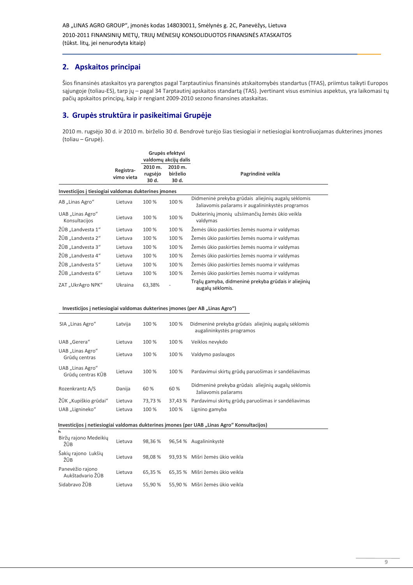#### 2. Apskaitos principai

Šios finansinės ataskaitos yra parengtos pagal Tarptautinius finansinės atskaitomybės standartus (TFAS), priimtus taikyti Europos sąjungoje (toliau-ES), tarp jų – pagal 34 Tarptautinį apskaitos standartą (TAS). Įvertinant visus esminius aspektus, yra laikomasi tų pačių apskaitos principų, kaip ir rengiant 2009-2010 sezono finansines ataskaitas.

#### 3. Grupės struktūra ir pasikeitimai Grupėje

2010 m. rugsėjo 30 d. ir 2010 m. birželio 30 d. Bendrovė turėjo šias tiesiogiai ir netiesiogiai kontroliuojamas dukterines įmones (toliau - Grupė).

|                                                                                                  | Registra-<br>vimo vieta | 2010 m.<br>rugsėjo<br>30 d. | Grupės efektyvi<br>valdomų akcijų dalis<br>2010 m.<br>birželio<br>30 d. | Pagrindinė veikla                                                                                       |
|--------------------------------------------------------------------------------------------------|-------------------------|-----------------------------|-------------------------------------------------------------------------|---------------------------------------------------------------------------------------------------------|
| Investicijos į tiesiogiai valdomas dukterines įmones                                             |                         |                             |                                                                         |                                                                                                         |
| AB "Linas Agro"                                                                                  | Lietuva                 | 100 %                       | 100 %                                                                   | Didmeninė prekyba grūdais aliejinių augalų sėklomis<br>žaliavomis pašarams ir augalininkystės programos |
| UAB "Linas Agro"<br>Konsultacijos                                                                | Lietuva                 | 100 %                       | 100 %                                                                   | Dukterinių įmonių užsiimančių žemės ūkio veikla<br>valdymas                                             |
| ŽŪB "Landvesta 1"                                                                                | Lietuva                 | 100 %                       | 100 %                                                                   | Žemės ūkio paskirties žemės nuoma ir valdymas                                                           |
| ŽŪB "Landvesta 2"                                                                                | Lietuva                 | 100 %                       | 100 %                                                                   | Žemės ūkio paskirties žemės nuoma ir valdymas                                                           |
| ŽŪB "Landvesta 3"                                                                                | Lietuva                 | 100 %                       | 100 %                                                                   | Žemės ūkio paskirties žemės nuoma ir valdymas                                                           |
| ŽŪB "Landvesta 4"                                                                                | Lietuva                 | 100 %                       | 100 %                                                                   | Žemės ūkio paskirties žemės nuoma ir valdymas                                                           |
| ŽŪB "Landvesta 5"                                                                                | Lietuva                 | 100 %                       | 100 %                                                                   | Žemės ūkio paskirties žemės nuoma ir valdymas                                                           |
| ŽŪB "Landvesta 6"                                                                                | Lietuva                 | 100 %                       | 100 %                                                                   | Žemės ūkio paskirties žemės nuoma ir valdymas                                                           |
| ZAT "UkrAgro NPK"                                                                                | Ukraina                 | 63,38%                      |                                                                         | Trąšų gamyba, didmeninė prekyba grūdais ir aliejinių<br>augalų sėklomis.                                |
| Investicijos į netiesiogiai valdomas dukterines įmones (per AB "Linas Agro")<br>SIA "Linas Agro" | Latvija                 | 100 %                       | 100 %                                                                   | Didmeninė prekyba grūdais aliejinių augalų sėklomis<br>augalininkystės programos                        |
| UAB "Gerera"                                                                                     | Lietuva                 | 100 %                       | 100 %                                                                   | Veiklos nevykdo                                                                                         |
| UAB "Linas Agro"<br>Grūdy centras                                                                | Lietuva                 | 100 %                       | 100 %                                                                   | Valdymo paslaugos                                                                                       |
| UAB "Linas Agro"<br>Grūdų centras KŪB                                                            | Lietuva                 | 100 %                       | 100 %                                                                   | Pardavimui skirtų grūdų paruošimas ir sandėliavimas                                                     |
| Rozenkrantz A/S                                                                                  | Danija                  | 60%                         | 60 %                                                                    | Didmeninė prekyba grūdais aliejinių augalų sėklomis<br>žaliavomis pašarams                              |
| ŽŪK "Kupiškio grūdai"                                                                            | Lietuva                 | 73,73 %                     | 37,43 %                                                                 | Pardavimui skirtų grūdų paruošimas ir sandėliavimas                                                     |
| UAB "Lignineko"                                                                                  | Lietuva                 | 100 %                       | 100 %                                                                   | Lignino gamyba                                                                                          |
|                                                                                                  |                         |                             |                                                                         | Investicijos į netiesiogiai valdomas dukterines įmones (per UAB "Linas Agro" Konsultacijos)             |
| Biržų rajono Medeikių<br>ŽŪB                                                                     | Lietuva                 | 98,36 %                     |                                                                         | 96,54 % Augalininkystė                                                                                  |
| Šakių rajono Lukšių<br>ŽŪB                                                                       | Lietuva                 | 98,08%                      |                                                                         | 93,93 % Mišri žemės ūkio veikla                                                                         |
| Panevėžio rajono<br>Aukštadvario ŽŪB                                                             | Lietuva                 | 65,35 %                     |                                                                         | 65,35 % Mišri žemės ūkio veikla                                                                         |
| Sidabravo ŽŪB                                                                                    | Lietuva                 | 55,90 %                     |                                                                         | 55,90 % Mišri žemės ūkio veikla                                                                         |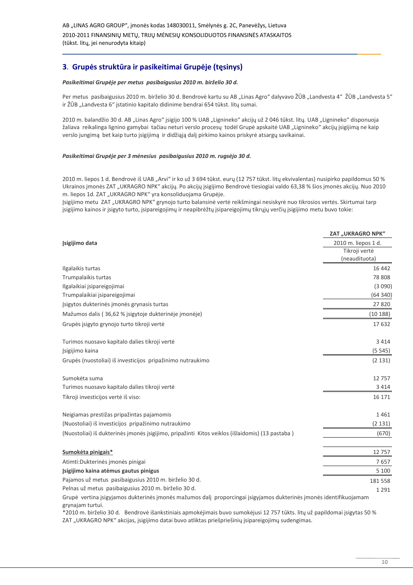#### 3. Grupės struktūra ir pasikeitimai Grupėje (tęsinys)

#### Pasikeitimai Grupėje per metus pasibaigusius 2010 m. birželio 30 d.

Per metus pasibaigusius 2010 m. birželio 30 d. Bendrovė kartu su AB "Linas Agro" dalyvavo ŽŪB "Landvesta 4" ŽŪB "Landvesta 5" ir ŽŪB "Landvesta 6" įstatinio kapitalo didinime bendrai 654 tūkst. litų sumai.

2010 m. balandžio 30 d. AB "Linas Agro" įsigijo 100 % UAB "Lignineko" akcijų už 2 046 tūkst. litų. UAB "Lignineko" disponuoja žaliava reikalinga lignino gamybai tačiau neturi verslo procesu todėl Grupė apskaitė UAB "Lignineko" akcijų isigijima ne kaip verslo jungimą bet kaip turto įsigijimą ir didžiąją dalį pirkimo kainos priskyrė atsargų savikainai.

#### Pasikeitimai Grupėje per 3 mėnesius pasibaigusius 2010 m. rugsėjo 30 d.

2010 m. liepos 1 d. Bendrovė iš UAB "Arvi" ir ko už 3 694 tūkst. eurų (12 757 tūkst. litų ekvivalentas) nusipirko papildomus 50 % Ukrainos įmonės ZAT "UKRAGRO NPK" akcijų. Po akcijų įsigijimo Bendrovė tiesiogiai valdo 63,38 % šios įmonės akcijų. Nuo 2010 m. liepos 1d. ZAT "UKRAGRO NPK" yra konsoliduojama Grupėje.

Jsigijimo metu ZAT "UKRAGRO NPK" grynojo turto balansinė vertė reikšmingai nesiskyrė nuo tikrosios vertės. Skirtumai tarp įsigijimo kainos ir įsigyto turto, įsipareigojimų ir neapibrėžtų įsipareigojimų tikrųjų verčių įsigijimo metu buvo tokie:

|                                                                                                 | <b>ZAT "UKRAGRO NPK"</b> |
|-------------------------------------------------------------------------------------------------|--------------------------|
| Isigijimo data                                                                                  | 2010 m. liepos 1 d.      |
|                                                                                                 | Tikroji vertė            |
|                                                                                                 | (neaudituota)            |
| Ilgalaikis turtas                                                                               | 16 442                   |
| Trumpalaikis turtas                                                                             | 78 808                   |
| Ilgalaikiai įsipareigojimai                                                                     | (3090)                   |
| Trumpalaikiai įsipareigojimai                                                                   | (64340)                  |
| Isigytos dukterinės įmonės grynasis turtas                                                      | 27820                    |
| Mažumos dalis (36,62 % įsigytoje dukterinėje įmonėje)                                           | (10188)                  |
| Grupės įsigyto grynojo turto tikroji vertė                                                      | 17632                    |
| Turimos nuosavo kapitalo dalies tikroji vertė                                                   | 3 4 1 4                  |
| Jsigijimo kaina                                                                                 | (5545)                   |
| Grupės (nuostoliai) iš investicijos pripažinimo nutraukimo                                      | (2 131)                  |
| Sumokėta suma                                                                                   | 12757                    |
| Turimos nuosavo kapitalo dalies tikroji vertė                                                   | 3 4 1 4                  |
| Tikroji investicijos vertė iš viso:                                                             | 16 17 1                  |
| Neigiamas prestižas pripažintas pajamomis                                                       | 1461                     |
| (Nuostoliai) iš investicijos pripažinimo nutraukimo                                             | (2131)                   |
| (Nuostoliai) iš dukterinės įmonės įsigijimo, pripažinti Kitos veiklos (išlaidomis) (13 pastaba) | (670)                    |
| Sumokėta pinigais*                                                                              | 12757                    |
| Atimti: Dukterinės įmonės pinigai                                                               | 7657                     |
| Isigijimo kaina atėmus gautus pinigus                                                           | 5 100                    |
| Pajamos už metus pasibaigusius 2010 m. birželio 30 d.                                           | 181 558                  |
| Pelnas už metus pasibaigusius 2010 m. birželio 30 d.                                            | 1 2 9 1                  |
|                                                                                                 |                          |

Grupė vertina įsigyjamos dukterinės įmonės mažumos dalį proporcingai įsigyjamos dukterinės įmonės identifikuojamam grynajam turtui.

\*2010 m. birželio 30 d. Bendrovė išankstiniais apmokėjimais buvo sumokėjusi 12 757 tūkts. litų už papildomai įsigytas 50 % ZAT "UKRAGRO NPK" akcijas, įsigijimo datai buvo atliktas priešpriešinių įsipareigojimų sudengimas.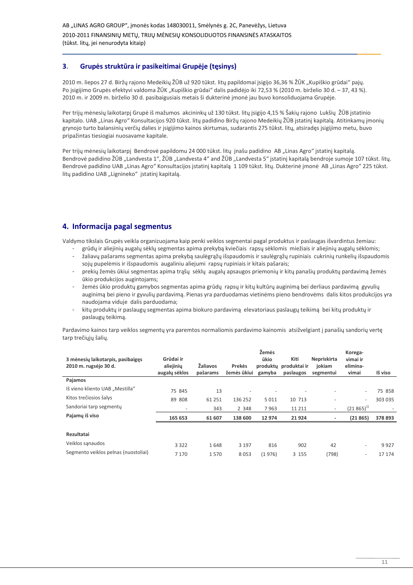#### $3<sub>1</sub>$ Grupės struktūra ir pasikeitimai Grupėje (tęsinys)

2010 m. liepos 27 d. Biržų rajono Medeikių ŽŪB už 920 tūkst. litų papildomai įsigijo 36,36 % ŽŪK "Kupiškio grūdai" pajų. Po isigijimo Grupės efektyvi valdoma ŽŪK "Kupiškio grūdai" dalis padidėjo iki 72.53 % (2010 m. birželio 30 d. – 37.43 %). 2010 m. ir 2009 m. birželio 30 d. pasibaigusiais metais ši dukterinė imonė jau buvo konsoliduojama Grupėje.

Per trijų mėnesių laikotarpį Grupė iš mažumos akcininkų už 130 tūkst. litų įsigijo 4,15 % Šakių rajono Lukšių ŽŪB įstatinio kapitalo. UAB "Linas Agro" Konsultacijos 920 tūkst. litų padidino Biržų rajono Medeikių ŽŪB įstatinį kapitalą. Atitinkamų įmonių grynojo turto balansinių verčių dalies ir įsigijimo kainos skirtumas, sudarantis 275 tūkst. litų, atsirades įsigijimo metu, buvo pripažintas tiesiogiai nuosavame kapitale.

Per trijų mėnesių laikotarpį Bendrovė papildomu 24 000 tūkst. litų jnašu padidino AB "Linas Agro" įstatinį kapitalą. Bendrovė padidino ŽŪB "Landvesta 1", ŽŪB "Landvesta 4" and ŽŪB "Landvesta 5" įstatinį kapitalą bendroje sumoje 107 tūkst. litų. Bendrovė padidino UAB "Linas Agro" Konsultacijos įstatinį kapitalą 1109 tūkst. litų. Dukterinė įmonė AB "Linas Agro" 225 tūkst. litų padidino UAB "Lignineko" įstatinį kapitalą.

#### 4. Informacija pagal segmentus

Valdymo tikslais Grupės veikla organizuojama kaip penki veiklos segmentai pagal produktus ir paslaugas išvardintus žemiau:

- grūdų ir aliejinių augalų sėklų segmentas apima prekybą kviečiais rapsų sėklomis miežiais ir aliejinių augalų sėklomis;
- žaliavų pašarams segmentas apima prekybą saulėgrąžų išspaudomis ir saulėgrąžų rupiniais cukrinių runkelių išspaudomis sojų pupelėmis ir išspaudomis augaliniu aliejumi rapsų rupiniais ir kitais pašarais;
- prekių žemės ūkiui segmentas apima trašų sėklų augalų apsaugos priemonių ir kitų panašių produktų pardavimą žemės ūkio produkcijos augintojams:
- žemės ūkio produktų gamybos segmentas apima grūdų rapsų ir kitų kultūrų auginimą bei derliaus pardavimą gyvulių auginimą bei pieno ir gyvulių pardavimą. Pienas yra parduodamas vietinėms pieno bendrovėms dalis kitos produkcijos yra naudojama viduje dalis parduodama;
- kitų produktų ir paslaugų segmentas apima biokuro pardavimą elevatoriaus paslaugų teikimą bei kitų produktų ir paslaugu teikima.

Pardavimo kainos tarp veiklos segmentų yra paremtos normaliomis pardavimo kainomis atsižvelgiant į panašių sandorių vertę tarp trečiųjų šalių.

| 3 mėnesių laikotarpis, pasibaiges<br>2010 m. rugsėjo 30 d. | Grūdai ir<br>aliejinių<br>augalų sėklos | Žaliavos<br>pašarams | <b>Prekės</b><br>žemės ūkiui | Žemės<br>ūkio<br>produkty<br>gamyba | Kiti<br>produktai ir<br>paslaugos | Nepriskirta<br>jokiam<br>segmentui | Korega-<br>vimai ir<br>elimina-<br>vimai | Iš viso |
|------------------------------------------------------------|-----------------------------------------|----------------------|------------------------------|-------------------------------------|-----------------------------------|------------------------------------|------------------------------------------|---------|
| Pajamos                                                    |                                         |                      |                              |                                     |                                   |                                    |                                          |         |
| Iš vieno kliento UAB "Mestilla"                            | 75 845                                  | 13                   |                              |                                     |                                   |                                    | $\overline{\phantom{a}}$                 | 75 858  |
| Kitos trečiosios šalys                                     | 89 808                                  | 61 251               | 136 252                      | 5011                                | 10 713                            | -                                  | $\overline{\phantom{a}}$                 | 303 035 |
| Sandoriai tarp segmentu                                    | $\overline{\phantom{a}}$                | 343                  | 2 3 4 8                      | 7963                                | 11 2 11                           | $\overline{\phantom{a}}$           | $(21865)^{1}$                            |         |
| Pajamų iš viso                                             | 165 653                                 | 61 607               | 138 600                      | 12 974                              | 21924                             |                                    | (21865)                                  | 378 893 |
|                                                            |                                         |                      |                              |                                     |                                   |                                    |                                          |         |
| Rezultatai                                                 |                                         |                      |                              |                                     |                                   |                                    |                                          |         |
| Veiklos sanaudos                                           | 3 3 2 2                                 | 1648                 | 3 1 9 7                      | 816                                 | 902                               | 42                                 | $\overline{\phantom{a}}$                 | 9927    |
| Segmento veiklos pelnas (nuostoliai)                       | 7 1 7 0                                 | 1570                 | 8053                         | (1976)                              | 3 1 5 5                           | (798)                              | $\sim$                                   | 17 174  |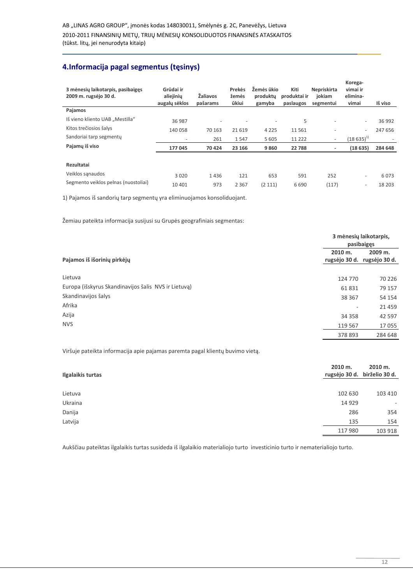## 4. Informacija pagal segmentus (tęsinys)

| 3 mėnesių laikotarpis, pasibaigęs<br>2009 m. rugsėjo 30 d. | Grūdai ir<br>aliejinių<br>augalų sėklos | Žaliavos<br>pašarams | Prekės<br>žemės<br>ūkiui | Žemės ūkio<br>produkty<br>gamyba | Kiti<br>produktai ir<br>paslaugos | Nepriskirta<br>iokiam<br>segmentui | Korega-<br>vimai ir<br>elimina-<br>vimai | Iš viso |
|------------------------------------------------------------|-----------------------------------------|----------------------|--------------------------|----------------------------------|-----------------------------------|------------------------------------|------------------------------------------|---------|
| Pajamos                                                    |                                         |                      |                          |                                  |                                   |                                    |                                          |         |
| Iš vieno kliento UAB "Mestilla"                            | 36 987                                  | ٠                    |                          | $\overline{\phantom{a}}$         | 5                                 | $\overline{\phantom{0}}$           | $\overline{a}$                           | 36 992  |
| Kitos trečiosios šalys                                     | 140 058                                 | 70 163               | 21 6 19                  | 4 2 2 5                          | 11 5 6 1                          | $\overline{\phantom{m}}$           | $\overline{\phantom{a}}$                 | 247 656 |
| Sandoriai tarp segmentu                                    | $\overline{\phantom{a}}$                | 261                  | 1547                     | 5 6 0 5                          | 11 2 2 2                          | $\overline{\phantom{a}}$           | $(18635)^{1}$                            |         |
| Pajamų iš viso                                             | 177 045                                 | 70 424               | 23 166                   | 9860                             | 22 788                            |                                    | (18635)                                  | 284 648 |
|                                                            |                                         |                      |                          |                                  |                                   |                                    |                                          |         |
| Rezultatai                                                 |                                         |                      |                          |                                  |                                   |                                    |                                          |         |
| Veiklos sanaudos                                           | 3 0 2 0                                 | 1436                 | 121                      | 653                              | 591                               | 252                                | $\overline{\phantom{a}}$                 | 6073    |
| Segmento veiklos pelnas (nuostoliai)                       | 10 401                                  | 973                  | 2 3 6 7                  | (2 111)                          | 6690                              | (117)                              | $\overline{\phantom{a}}$                 | 18 20 3 |

1) Pajamos iš sandorių tarp segmentų yra eliminuojamos konsoliduojant.

Žemiau pateikta informacija susijusi su Grupės geografiniais segmentas:

|                                                      | 3 mėnesių laikotarpis,<br>pasibaigęs |                                        |  |  |  |
|------------------------------------------------------|--------------------------------------|----------------------------------------|--|--|--|
| Pajamos iš išorinių pirkėjų                          | 2010 m.                              | 2009 m.<br>rugsėjo 30 d. rugsėjo 30 d. |  |  |  |
| Lietuva                                              | 124 770                              | 70 226                                 |  |  |  |
| Europa (išskyrus Skandinavijos šalis NVS ir Lietuvą) | 61831                                | 79 157                                 |  |  |  |
| Skandinavijos šalys                                  | 38 367                               | 54 154                                 |  |  |  |
| Afrika                                               | -                                    | 21459                                  |  |  |  |
| Azija                                                | 34 3 58                              | 42 5 9 7                               |  |  |  |
| <b>NVS</b>                                           | 119 567                              | 17055                                  |  |  |  |
|                                                      | 378 893                              | 284 648                                |  |  |  |

Viršuje pateikta informacija apie pajamas paremta pagal klientų buvimo vietą.

| Ilgalaikis turtas | 2010 m.<br>rugsėjo 30 d. | 2010 m.<br>birželio 30 d. |
|-------------------|--------------------------|---------------------------|
|                   |                          |                           |
| Lietuva           | 102 630                  | 103 410                   |
| Ukraina           | 14 9 29                  | -                         |
| Danija            | 286                      | 354                       |
| Latvija           | 135                      | 154                       |
|                   | 117 980                  | 103 918                   |

Aukščiau pateiktas ilgalaikis turtas susideda iš ilgalaikio materialiojo turto investicinio turto ir nematerialiojo turto.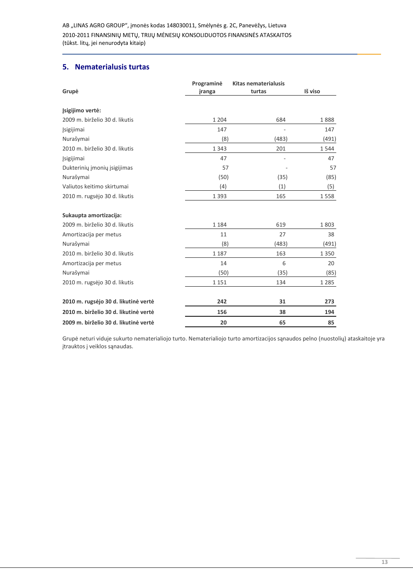AB "LINAS AGRO GROUP", įmonės kodas 148030011, Smėlynės g. 2C, Panevėžys, Lietuva 2010-2011 FINANSINIŲ METŲ, TRIJŲ MĖNESIŲ KONSOLIDUOTOS FINANSINĖS ATASKAITOS (tūkst. litų, jei nenurodyta kitaip)

#### 5. Nematerialusis turtas

|                                       | Programinė | <b>Kitas nematerialusis</b> |         |
|---------------------------------------|------------|-----------------------------|---------|
| Grupė                                 | įranga     | turtas                      | Iš viso |
| Isigijimo vertė:                      |            |                             |         |
| 2009 m. birželio 30 d. likutis        | 1 2 0 4    | 684                         | 1888    |
| <b>Jsigijimai</b>                     | 147        |                             | 147     |
| Nurašymai                             | (8)        | (483)                       | (491)   |
| 2010 m. birželio 30 d. likutis        | 1 3 4 3    | 201                         | 1544    |
| Jsigijimai                            | 47         |                             | 47      |
| Dukterinių įmonių įsigijimas          | 57         |                             | 57      |
| Nurašymai                             | (50)       | (35)                        | (85)    |
| Valiutos keitimo skirtumai            | (4)        | (1)                         | (5)     |
| 2010 m. rugsėjo 30 d. likutis         | 1 3 9 3    | 165                         | 1558    |
| Sukaupta amortizacija:                |            |                             |         |
| 2009 m. birželio 30 d. likutis        | 1 1 8 4    | 619                         | 1803    |
| Amortizacija per metus                | 11         | 27                          | 38      |
| Nurašymai                             | (8)        | (483)                       | (491)   |
| 2010 m. birželio 30 d. likutis        | 1 1 8 7    | 163                         | 1 3 5 0 |
| Amortizacija per metus                | 14         | 6                           | 20      |
| Nurašymai                             | (50)       | (35)                        | (85)    |
| 2010 m. rugsėjo 30 d. likutis         | 1 1 5 1    | 134                         | 1 2 8 5 |
| 2010 m. rugsėjo 30 d. likutinė vertė  | 242        | 31                          | 273     |
| 2010 m. birželio 30 d. likutinė vertė | 156        | 38                          | 194     |
| 2009 m. birželio 30 d. likutinė vertė | 20         | 65                          | 85      |

Grupė neturi viduje sukurto nematerialiojo turto. Nematerialiojo turto amortizacijos sąnaudos pelno (nuostolių) ataskaitoje yra įtrauktos į veiklos sąnaudas.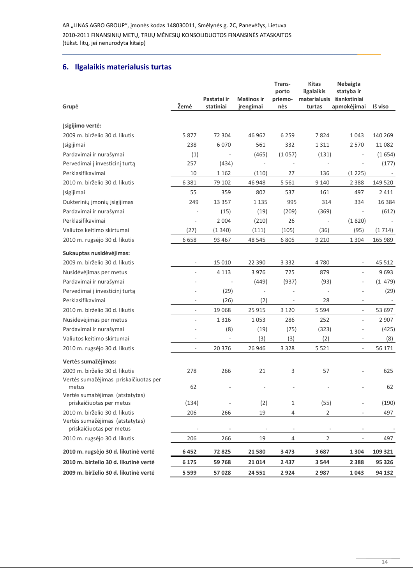#### 6. Ilgalaikis materialusis turtas

|                                                             |                          | Pastatai ir              | Mašinos ir               | Trans-<br>porto<br>priemo- | <b>Kitas</b><br>ilgalaikis | Nebaigta<br>statyba ir<br>materialusis išankstiniai |          |
|-------------------------------------------------------------|--------------------------|--------------------------|--------------------------|----------------------------|----------------------------|-----------------------------------------------------|----------|
| Grupė                                                       | Žemė                     | statiniai                | įrengimai                | nės                        | turtas                     | apmokėjimai                                         | Iš viso  |
| Įsigijimo vertė:                                            |                          |                          |                          |                            |                            |                                                     |          |
| 2009 m. birželio 30 d. likutis                              | 5877                     | 72 304                   | 46 962                   | 6 2 5 9                    | 7824                       | 1 0 4 3                                             | 140 269  |
| Įsigijimai                                                  | 238                      | 6070                     | 561                      | 332                        | 1311                       | 2 5 7 0                                             | 11 0 82  |
| Pardavimai ir nurašymai                                     | (1)                      |                          | (465)                    | (1057)                     | (131)                      | L,                                                  | (1654)   |
| Pervedimai į investicinį turtą                              | 257                      | (434)                    | ä,                       |                            |                            |                                                     | (177)    |
| Perklasifikavimai                                           | 10                       | 1 1 6 2                  | (110)                    | 27                         | 136                        | (1225)                                              |          |
| 2010 m. birželio 30 d. likutis                              | 6 3 8 1                  | 79 102                   | 46 948                   | 5 5 6 1                    | 9 1 4 0                    | 2 3 8 8                                             | 149 520  |
| <b>Jsigijimai</b>                                           | 55                       | 359                      | 802                      | 537                        | 161                        | 497                                                 | 2411     |
| Dukterinių įmonių įsigijimas                                | 249                      | 13 3 5 7                 | 1 1 3 5                  | 995                        | 314                        | 334                                                 | 16 3 8 4 |
| Pardavimai ir nurašymai                                     |                          | (15)                     | (19)                     | (209)                      | (369)                      | $\overline{\phantom{a}}$                            | (612)    |
| Perklasifikavimai                                           |                          | 2 0 0 4                  | (210)                    | 26                         | $\overline{\phantom{a}}$   | (1820)                                              |          |
| Valiutos keitimo skirtumai                                  | (27)                     | (1340)                   | (111)                    | (105)                      | (36)                       | (95)                                                | (1714)   |
| 2010 m. rugsėjo 30 d. likutis                               | 6658                     | 93 467                   | 48 5 45                  | 6805                       | 9 2 1 0                    | 1 3 0 4                                             | 165 989  |
| Sukauptas nusidėvėjimas:                                    |                          |                          |                          |                            |                            |                                                     |          |
| 2009 m. birželio 30 d. likutis                              |                          | 15 010                   | 22 3 9 0                 | 3 3 3 2                    | 4780                       |                                                     | 45 5 12  |
| Nusidėvėjimas per metus                                     | ÷                        | 4 1 1 3                  | 3976                     | 725                        | 879                        | $\overline{\phantom{a}}$                            | 9693     |
| Pardavimai ir nurašymai                                     |                          |                          | (449)                    | (937)                      | (93)                       | ÷                                                   | (1479)   |
| Pervedimai į investicinį turtą                              |                          | (29)                     | $\overline{\phantom{a}}$ |                            | $\overline{\phantom{a}}$   |                                                     | (29)     |
| Perklasifikavimai                                           |                          | (26)                     | (2)                      |                            | 28                         |                                                     |          |
| 2010 m. birželio 30 d. likutis                              | $\overline{\phantom{a}}$ | 19 068                   | 25 9 15                  | 3 1 2 0                    | 5 5 9 4                    | $\overline{\phantom{m}}$                            | 53 697   |
| Nusidėvėjimas per metus                                     | ÷,                       | 1 3 1 6                  | 1053                     | 286                        | 252                        | $\frac{1}{2}$                                       | 2 9 0 7  |
| Pardavimai ir nurašymai                                     |                          | (8)                      | (19)                     | (75)                       | (323)                      | L,                                                  | (425)    |
| Valiutos keitimo skirtumai                                  | $\sim$                   | $\overline{\phantom{a}}$ | (3)                      | (3)                        | (2)                        | $\overline{\phantom{a}}$                            | (8)      |
| 2010 m. rugsėjo 30 d. likutis                               | $\overline{\phantom{a}}$ | 20 376                   | 26 946                   | 3 3 2 8                    | 5 5 2 1                    | $\overline{\phantom{m}}$                            | 56 171   |
| Vertės sumažėjimas:                                         |                          |                          |                          |                            |                            |                                                     |          |
| 2009 m. birželio 30 d. likutis                              | 278                      | 266                      | 21                       | 3                          | 57                         | $\bar{ }$                                           | 625      |
| Vertės sumažėjimas priskaičiuotas per<br>metus              | 62                       |                          |                          |                            |                            |                                                     | 62       |
| Vertės sumažėjimas (atstatytas)<br>priskaičiuotas per metus | (134)                    |                          | (2)                      | 1                          | (55)                       |                                                     | (190)    |
| 2010 m. birželio 30 d. likutis                              | 206                      | 266                      | 19                       | 4                          | 2                          |                                                     | 497      |
| Vertės sumažėjimas (atstatytas)                             |                          |                          |                          |                            |                            |                                                     |          |
| priskaičiuotas per metus                                    |                          |                          |                          |                            |                            |                                                     |          |
| 2010 m. rugsėjo 30 d. likutis                               | 206                      | 266                      | 19                       | $\overline{4}$             | $\overline{2}$             | $\blacksquare$                                      | 497      |
| 2010 m. rugsėjo 30 d. likutinė vertė                        | 6452                     | 72825                    | 21 580                   | 3 4 7 3                    | 3687                       | 1 3 0 4                                             | 109 321  |
| 2010 m. birželio 30 d. likutinė vertė                       | 6 1 7 5                  | 59 768                   | 21 0 14                  | 2 4 3 7                    | 3 5 4 4                    | 2 3 8 8                                             | 95 326   |
| 2009 m. birželio 30 d. likutinė vertė                       | 5 5 9 9                  | 57 028                   | 24 5 51                  | 2924                       | 2987                       | 1043                                                | 94 132   |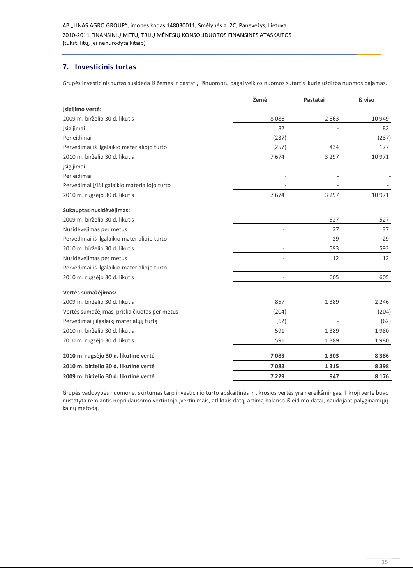#### 7. Investicinis turtas

Grupės investicinis turtas susideda iš žemės ir pastatų išnuomotų pagal veiklos nuomos sutartis kurie uždirba nuomos pajamas.

|                                               | Žemė                     | Pastatai | Iš viso |
|-----------------------------------------------|--------------------------|----------|---------|
| Isigijimo vertė:                              |                          |          |         |
| 2009 m. birželio 30 d. likutis                | 8086                     | 2863     | 10 949  |
| Įsigijimai                                    | 82                       |          | 82      |
| Perleidimai                                   | (237)                    |          | (237)   |
| Pervedimai iš ilgalaikio materialiojo turto   | (257)                    | 434      | 177     |
| 2010 m. birželio 30 d. likutis                | 7674                     | 3 2 9 7  | 10 971  |
| Įsigijimai                                    |                          |          |         |
| Perleidimai                                   |                          |          |         |
| Pervedimai į/iš ilgalaikio materialiojo turto |                          |          |         |
| 2010 m. rugsėjo 30 d. likutis                 | 7674                     | 3 2 9 7  | 10 971  |
| Sukauptas nusidėvėjimas:                      |                          |          |         |
| 2009 m. birželio 30 d. likutis                | $\overline{a}$           | 527      | 527     |
| Nusidėvėjimas per metus                       | ٠                        | 37       | 37      |
| Pervedimai iš ilgalaikio materialiojo turto   | ٠                        | 29       | 29      |
| 2010 m. birželio 30 d. likutis                | $\overline{\phantom{a}}$ | 593      | 593     |
| Nusidėvėjimas per metus                       | ٠                        | 12       | 12      |
| Pervedimai iš ilgalaikio materialiojo turto   | ٠                        |          |         |
| 2010 m. rugsėjo 30 d. likutis                 | $\overline{a}$           | 605      | 605     |
| Vertės sumažėjimas:                           |                          |          |         |
| 2009 m. birželio 30 d. likutis                | 857                      | 1 3 8 9  | 2 2 4 6 |
| Vertės sumažėjimas priskaičiuotas per metus   | (204)                    |          | (204)   |
| Pervedimai į ilgalaikį materialųjį turtą      | (62)                     |          | (62)    |
| 2010 m. birželio 30 d. likutis                | 591                      | 1 3 8 9  | 1980    |
| 2010 m. rugsėjo 30 d. likutis                 | 591                      | 1 3 8 9  | 1980    |
| 2010 m. rugsėjo 30 d. likutinė vertė          | 7083                     | 1 3 0 3  | 8 3 8 6 |
| 2010 m. birželio 30 d. likutinė vertė         | 7083                     | 1315     | 8 3 9 8 |
| 2009 m. birželio 30 d. likutinė vertė         | 7 2 2 9                  | 947      | 8 1 7 6 |

Grupės vadovybės nuomone, skirtumas tarp investicinio turto apskaitinės ir tikrosios vertės yra nereikšmingas. Tikroji vertė buvo nustatyta remiantis nepriklausomo vertintojo įvertinimais, atliktais datą, artimą balanso išleidimo datai, naudojant palyginamųjų kainų metodą.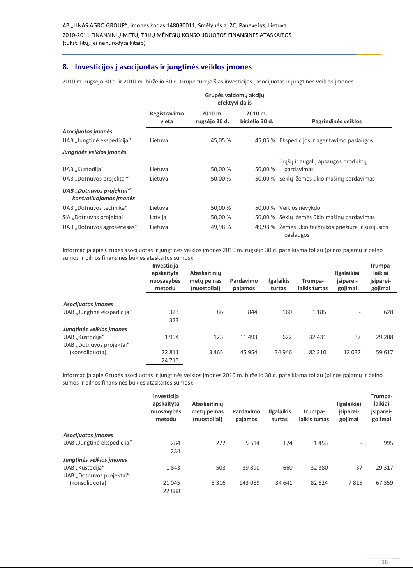#### 8. Investicijos į asocijuotas ir jungtinės veiklos įmones

2010 m. rugsėjo 30 d. ir 2010 m. birželio 30 d. Grupė turėjo šias investicijas į asocijuotas ir jungtinės veiklos įmones.

|                                                    |                       | Grupės valdomų akcijų<br>efektyvi dalis |                           |                                                                   |
|----------------------------------------------------|-----------------------|-----------------------------------------|---------------------------|-------------------------------------------------------------------|
|                                                    | Registravimo<br>vieta | 2010 m.<br>rugsėjo 30 d.                | 2010 m.<br>birželio 30 d. | Pagrindinės veiklos                                               |
| Asocijuotos įmonės                                 |                       |                                         |                           |                                                                   |
| UAB "Jungtinė ekspedicija"                         | Lietuva               | 45,05 %                                 |                           | 45,05 % Ekspedicijos ir agentavimo paslaugos                      |
| Jungtinės veiklos įmonės                           |                       |                                         |                           |                                                                   |
|                                                    |                       |                                         |                           | Trąšų ir augalų apsaugos produktų                                 |
| UAB "Kustodija"                                    | Lietuva               | 50,00 %                                 | 50,00 %                   | pardavimas                                                        |
| UAB "Dotnuvos projektai"                           | Lietuva               | 50,00 %                                 |                           | 50,00 % Sėklų žemės ūkio mašinų pardavimas                        |
| UAB "Dotnuvos projektai"<br>kontroliuojamos įmonės |                       |                                         |                           |                                                                   |
| UAB "Dotnuvos technika"                            | Lietuva               | 50,00 %                                 |                           | 50,00 % Veiklos nevykdo                                           |
| SIA "Dotnuvos projektai"                           | Latvija               | 50,00 %                                 |                           | 50,00 % Sėklų žemės ūkio mašinų pardavimas                        |
| UAB "Dotnuvos agroservisas"                        | Lietuva               | 49,98 %                                 |                           | 49,98 % Žemės ūkio technikos priežiūra ir susijusios<br>paslaugos |

Informacija apie Grupės asocijuotas ir jungtinės veiklos įmones 2010 m. rugsėjo 30 d. pateikiama toliau (pilnos pajamų ir pelno sumos ir pilnos finansinės būklės ataskaitos sumos):

|                            | Investicija<br>apskaityta<br>nuosavybės<br>metodu | Ataskaitinių<br>mety pelnas<br>(nuostoliai) | Pardavimo<br>pajamos | <b>Ilgalaikis</b><br>turtas | Trumpa-<br>laikis turtas | <b>Ilgalaikiai</b><br>jsiparei-<br>gojimai | Trumpa-<br>laikiai<br>jsiparei-<br>gojimai |
|----------------------------|---------------------------------------------------|---------------------------------------------|----------------------|-----------------------------|--------------------------|--------------------------------------------|--------------------------------------------|
|                            |                                                   |                                             |                      |                             |                          |                                            |                                            |
| Asocijuotas įmones         |                                                   |                                             |                      |                             |                          |                                            |                                            |
| UAB "Jungtinė ekspedicija" | 323                                               | 86                                          | 844                  | 160                         | 1 1 8 5                  | $\overline{\phantom{0}}$                   | 628                                        |
|                            | 323                                               |                                             |                      |                             |                          |                                            |                                            |
| Jungtinės veiklos įmones   |                                                   |                                             |                      |                             |                          |                                            |                                            |
| UAB "Kustodija"            | 1904                                              | 123                                         | 11 4 9 3             | 622                         | 32 4 31                  | 37                                         | 29 208                                     |
| UAB "Dotnuvos projektai"   |                                                   |                                             |                      |                             |                          |                                            |                                            |
| (konsoliduota)             | 22 811                                            | 3 4 6 5                                     | 45 9 54              | 34 946                      | 82 210                   | 12 0 37                                    | 59 617                                     |
|                            | 24 7 15                                           |                                             |                      |                             |                          |                                            |                                            |

Informacija apie Grupės asocijuotas ir jungtinės veiklos įmones 2010 m. birželio 30 d. pateikiama toliau (pilnos pajamų ir pelno sumos ir pilnos finansinės būklės ataskaitos sumos):

|                                                                         | Investicija<br>apskaityta<br>nuosavybės<br>metodu | <b>Ataskaitiniu</b><br>mety pelnas<br>(nuostoliai) | Pardavimo<br>pajamos | <b>Ilgalaikis</b><br>turtas | Trumpa-<br>laikis turtas | <b>Ilgalaikiai</b><br>jsiparei-<br>gojimai | Trumpa-<br>laikiai<br>įsiparei-<br>gojimai |
|-------------------------------------------------------------------------|---------------------------------------------------|----------------------------------------------------|----------------------|-----------------------------|--------------------------|--------------------------------------------|--------------------------------------------|
| Asocijuotas imones<br>UAB "Jungtinė ekspedicija"                        | 284<br>284                                        | 272                                                | 5614                 | 174                         | 1453                     | ۰                                          | 995                                        |
| Jungtinės veiklos įmones<br>UAB "Kustodija"<br>UAB "Dotnuvos projektai" | 1843                                              | 503                                                | 39 890               | 660                         | 32 3 80                  | 37                                         | 29 3 17                                    |
| (konsoliduota)                                                          | 21 045<br>22 888                                  | 5 3 1 6                                            | 143 089              | 34 641                      | 82 624                   | 7815                                       | 67359                                      |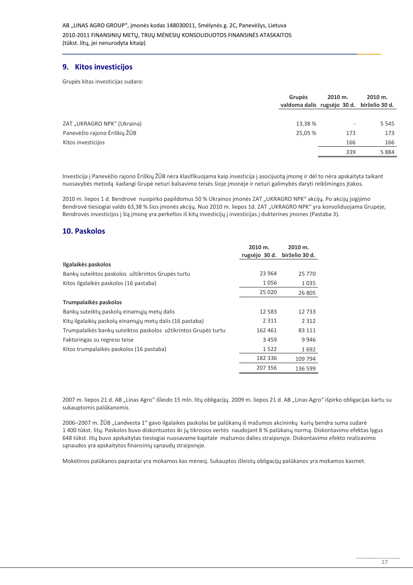#### 9. Kitos investicijos

Grupės kitas investicijas sudaro:

|                              | <b>Grupės</b><br>valdoma dalis rugsėjo 30 d. | 2010 m. | 2010 m.<br>birželio 30 d. |  |
|------------------------------|----------------------------------------------|---------|---------------------------|--|
|                              |                                              |         |                           |  |
| ZAT "UKRAGRO NPK" (Ukraina)  | 13,38 %                                      | ۰       | 5 5 4 5                   |  |
| Panevėžio rajono Ėriškių ŽŪB | 25,05 %                                      | 173     | 173                       |  |
| Kitos investicijos           |                                              | 166     | 166                       |  |
|                              |                                              | 339     | 5884                      |  |
|                              |                                              |         |                           |  |

Investicija į Panevėžio rajono Ėriškių ŽŪB nėra klasifikuojama kaip investicija į asocijuotą įmonę ir dėl to nėra apskaityta taikant nuosavybės metodą kadangi Grupė neturi balsavimo teisės šioje įmonėje ir neturi galimybės daryti reikšmingos įtakos.

2010 m. liepos 1 d. Bendrovė nusipirko papildomus 50 % Ukrainos įmonės ZAT "UKRAGRO NPK" akcijų. Po akcijų įsigijimo Bendrovė tiesiogiai valdo 63,38 % šios įmonės akcijų. Nuo 2010 m. liepos 1d. ZAT "UKRAGRO NPK" yra konsoliduojama Grupėje, Bendrovės investicijos į šią įmonę yra perkeltos iš kitų investicijų į investicijas į dukterines įmones (Pastaba 3).

#### 10. Paskolos

|                                                                | 2010 m.       | 2010 m.        |
|----------------------------------------------------------------|---------------|----------------|
|                                                                | rugsėjo 30 d. | birželio 30 d. |
| Ilgalaikės paskolos                                            |               |                |
| Bankų suteiktos paskolos užtikrintos Grupės turtu              | 23 964        | 25 7 7 0       |
| Kitos ilgalaikės paskolos (16 pastaba)                         | 1056          | 1 0 3 5        |
|                                                                | 25 0 20       | 26 805         |
| Trumpalaikės paskolos                                          |               |                |
| Bankų suteiktų paskolų einamųjų metų dalis                     | 12 5 8 3      | 12733          |
| Kity ilgalaikių paskolų einamųjų metų dalis (16 pastaba)       | 2 3 1 1       | 2 3 1 2        |
| Trumpalaikės bankų suteiktos paskolos užtikrintos Grupės turtu | 162 461       | 83 111         |
| Faktoringas su regreso teise                                   | 3459          | 9946           |
| Kitos trumpalaikės paskolos (16 pastaba)                       | 1522          | 1692           |
|                                                                | 182 336       | 109 794        |
|                                                                | 207 356       | 136 599        |

2007 m. liepos 21 d. AB "Linas Agro" išleido 15 mln. litų obligacijų. 2009 m. liepos 21 d. AB "Linas Agro" išpirko obligacijas kartu su sukauptomis palūkanomis.

2006-2007 m. ŽŪB "Landvesta 1" gavo ilgalaikes paskolas be palūkanų iš mažumos akcininkų kurių bendra suma sudarė 1 400 tūkst. litų. Paskolos buvo diskontuotos iki jų tikrosios vertės naudojant 8 % palūkanų normą. Diskontavimo efektas lygus 648 tūkst. litų buvo apskaitytas tiesiogiai nuosavame kapitale mažumos dalies straipsnyje. Diskontavimo efekto realizavimo sąnaudos yra apskaitytos finansinių sąnaudų straipsnyje.

Mokėtinos palūkanos paprastai yra mokamos kas mėnesį. Sukauptos išleistų obligacijų palūkanos yra mokamos kasmet.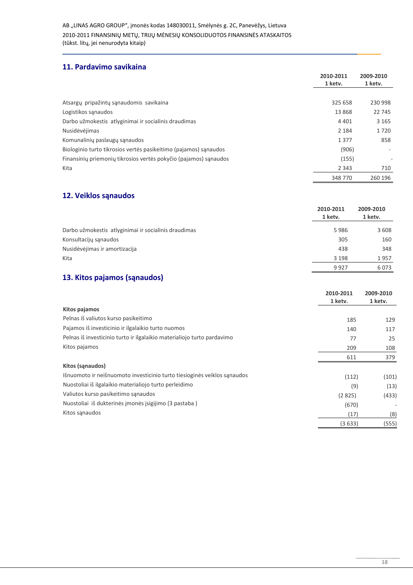#### 11. Pardavimo savikaina

|                                                                  | 2010-2011 | 2009-2010 |
|------------------------------------------------------------------|-----------|-----------|
|                                                                  | 1 ketv.   | 1 ketv.   |
|                                                                  |           |           |
| Atsargų pripažintų sąnaudomis savikaina                          | 325 658   | 230 998   |
| Logistikos sanaudos                                              | 13868     | 22 745    |
| Darbo užmokestis atlyginimai ir socialinis draudimas             | 4 4 0 1   | 3 1 6 5   |
| Nusidėvėjimas                                                    | 2 1 8 4   | 1720      |
| Komunalinių paslaugų sąnaudos                                    | 1377      | 858       |
| Biologinio turto tikrosios vertės pasikeitimo (pajamos) sanaudos | (906)     |           |
| Finansinių priemonių tikrosios vertės pokyčio (pajamos) sąnaudos | (155)     | ٠         |
| Kita                                                             | 2 3 4 3   | 710       |
|                                                                  | 348 770   | 260 196   |

## 12. Veiklos sąnaudos

|                                                      | 2010-2011<br>1 ketv. | 2009-2010<br>1 ketv. |
|------------------------------------------------------|----------------------|----------------------|
| Darbo užmokestis atlyginimai ir socialinis draudimas | 5986                 | 3608                 |
| Konsultacijų sąnaudos                                | 305                  | 160                  |
| Nusidėvėjimas ir amortizacija                        | 438                  | 348                  |
| Kita                                                 | 3 1 9 8              | 1957                 |
|                                                      | 9927                 | 6073                 |

#### 13. Kitos pajamos (sąnaudos)

|                                                                          | 2010-2011 | 2009-2010 |
|--------------------------------------------------------------------------|-----------|-----------|
|                                                                          | 1 ketv.   | 1 ketv.   |
| Kitos pajamos                                                            |           |           |
| Pelnas iš valiutos kurso pasikeitimo                                     | 185       | 129       |
| Pajamos iš investicinio ir ilgalaikio turto nuomos                       | 140       | 117       |
| Pelnas iš investicinio turto ir ilgalaikio materialiojo turto pardavimo  | 77        | 25        |
| Kitos pajamos                                                            | 209       | 108       |
|                                                                          | 611       | 379       |
| Kitos (sąnaudos)                                                         |           |           |
| Išnuomoto ir neišnuomoto investicinio turto tiesioginės veiklos sąnaudos | (112)     | (101)     |
| Nuostoliai iš ilgalaikio materialiojo turto perleidimo                   | (9)       | (13)      |
| Valiutos kurso pasikeitimo sąnaudos                                      | (2825)    | (433)     |
| Nuostoliai iš dukterinės įmonės įsigijimo (3 pastaba)                    | (670)     | -         |
| Kitos sąnaudos                                                           | (17)      | (8)       |
|                                                                          | (3633)    | (555)     |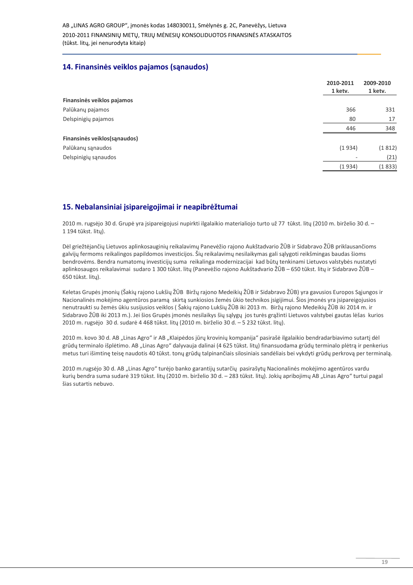#### 14. Finansinės veiklos pajamos (sanaudos)

|                               | 2010-2011 | 2009-2010 |
|-------------------------------|-----------|-----------|
|                               | 1 ketv.   | 1 ketv.   |
| Finansinės veiklos pajamos    |           |           |
| Palūkanų pajamos              | 366       | 331       |
| Delspinigių pajamos           | 80        | 17        |
|                               | 446       | 348       |
| Finansinės veiklos (sąnaudos) |           |           |
| Palūkanų sąnaudos             | (1934)    | (1812)    |
| Delspinigių sąnaudos          |           | (21)<br>۰ |
|                               | (1934)    | (1833)    |

#### 15. Nebalansiniai įsipareigojimai ir neapibrėžtumai

2010 m. rugsėjo 30 d. Grupė yra įsipareigojusi nupirkti ilgalaikio materialiojo turto už 77 tūkst. litų (2010 m. birželio 30 d. -1 194 tūkst. lity).

Dėl griežtėjančių Lietuvos aplinkosauginių reikalavimų Panevėžio rajono Aukštadvario ŽŪB ir Sidabravo ŽŪB priklausančioms galvijų fermoms reikalingos papildomos investicijos. Šių reikalavimų nesilaikymas gali sąlygoti reikšmingas baudas šioms bendrovėms. Bendra numatomų investicijų suma reikalinga modernizacijai kad būtų tenkinami Lietuvos valstybės nustatyti aplinkosaugos reikalavimai sudaro 1 300 tūkst. litų (Panevėžio rajono Aukštadvario ŽŪB - 650 tūkst. litų ir Sidabravo ŽŪB -650 tūkst. lity).

Keletas Grupės įmonių (Šakių rajono Lukšių ŽŪB Biržų rajono Medeikių ŽŪB ir Sidabravo ŽŪB) yra gavusios Europos Sąjungos ir Nacionalinės mokėjimo agentūros paramą skirtą sunkiosios žemės ūkio technikos įsigijimui. Šios įmonės yra įsipareigojusios nenutraukti su žemės ūkiu susijusios veiklos (Šakių rajono Lukšių ŽŪB iki 2013 m. Biržų rajono Medeikių ŽŪB iki 2014 m. ir Sidabravo ŽŪB iki 2013 m.). Jei šios Grupės įmonės nesilaikys šių sąlygų jos turės grąžinti Lietuvos valstybei gautas lėšas kurios 2010 m. rugsėjo 30 d. sudarė 4 468 tūkst. litų (2010 m. birželio 30 d. - 5 232 tūkst. litų).

2010 m. kovo 30 d. AB "Linas Agro" ir AB "Klaipėdos jūrų krovinių kompanija" pasirašė ilgalaikio bendradarbiavimo sutartį dėl grūdų terminalo išplėtimo. AB "Linas Agro" dalyvauja dalinai (4 625 tūkst. litų) finansuodama grūdų terminalo plėtrą ir penkerius metus turi išimtinę teisę naudotis 40 tūkst. tonų grūdų talpinančiais silosiniais sandėliais bei vykdyti grūdų perkrovą per terminalą.

2010 m.rugsėjo 30 d. AB "Linas Agro" turėjo banko garantijų sutarčių pasirašytų Nacionalinės mokėjimo agentūros vardu kurių bendra suma sudarė 319 tūkst. litų (2010 m. birželio 30 d. - 283 tūkst. litų). Jokių apribojimų AB "Linas Agro" turtui pagal šias sutartis nebuvo.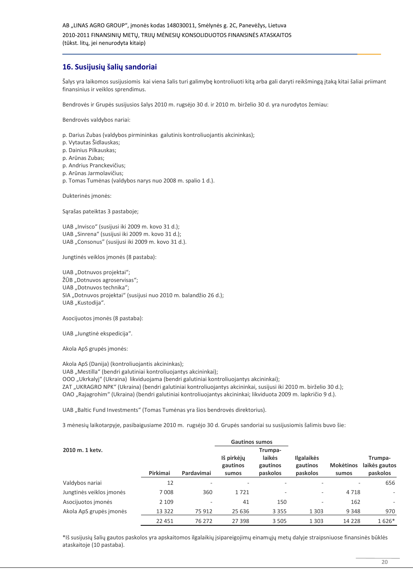#### 16. Susijusių šalių sandoriai

Šalys yra laikomos susijusiomis kai viena šalis turi galimybę kontroliuoti kitą arba gali daryti reikšmingą įtaką kitai šaliai priimant finansinius ir veiklos sprendimus.

Bendrovės ir Grupės susijusios šalys 2010 m. rugsėjo 30 d. ir 2010 m. birželio 30 d. yra nurodytos žemiau:

Bendrovės valdybos nariai:

- p. Darius Zubas (valdybos pirmininkas galutinis kontroliuojantis akcininkas);
- p. Vytautas Šidlauskas:
- p. Dainius Pilkauskas:
- p. Arūnas Zubas;
- p. Andrius Pranckevičius;
- p. Arūnas Jarmolavičius;
- p. Tomas Tumėnas (valdybos narys nuo 2008 m. spalio 1 d.).

Dukterinės įmonės:

Sąrašas pateiktas 3 pastaboje;

UAB "Invisco" (susijusi iki 2009 m. kovo 31 d.); UAB "Sinrena" (susijusi iki 2009 m. kovo 31 d.); UAB "Consonus" (susijusi iki 2009 m. kovo 31 d.).

Jungtinės veiklos įmonės (8 pastaba):

UAB "Dotnuvos projektai"; ŽŪB "Dotnuvos agroservisas"; UAB "Dotnuvos technika"; SIA "Dotnuvos projektai" (susijusi nuo 2010 m. balandžio 26 d.); UAB "Kustodiia".

Asocijuotos įmonės (8 pastaba):

UAB "Jungtinė ekspedicija".

Akola ApS grupės įmonės:

Akola ApS (Danija) (kontroliuojantis akcininkas); UAB "Mestilla" (bendri galutiniai kontroliuojantys akcininkai); OOO "Ukrkalyj" (Ukraina) likviduojama (bendri galutiniai kontroliuojantys akcininkai); ZAT "UKRAGRO NPK" (Ukraina) (bendri galutiniai kontroliuojantys akcininkai, susijusi iki 2010 m. birželio 30 d.); OAO "Rajagrohim" (Ukraina) (bendri galutiniai kontroliuojantys akcininkai; likviduota 2009 m. lapkričio 9 d.).

UAB "Baltic Fund Investments" (Tomas Tumėnas yra šios bendrovės direktorius).

3 mėnesių laikotarpyje, pasibaigusiame 2010 m. rugsėjo 30 d. Grupės sandoriai su susijusiomis šalimis buvo šie:

|                          |          |                          | <b>Gautinos sumos</b>           |                                           |                                           |                           |                                      |
|--------------------------|----------|--------------------------|---------------------------------|-------------------------------------------|-------------------------------------------|---------------------------|--------------------------------------|
| 2010 m. 1 ketv.          | Pirkimai | Pardavimai               | Iš pirkėjų<br>gautinos<br>sumos | Trumpa-<br>laikės<br>gautinos<br>paskolos | <b>Ilgalaikės</b><br>gautinos<br>paskolos | <b>Mokėtinos</b><br>sumos | Trumpa-<br>laikės gautos<br>paskolos |
| Valdybos nariai          | 12       | $\overline{\phantom{a}}$ |                                 |                                           |                                           | ۰                         | 656                                  |
| Jungtinės veiklos įmonės | 7008     | 360                      | 1721                            | ۰                                         | ٠                                         | 4718                      | $\overline{\phantom{a}}$             |
| Asocijuotos įmonės       | 2 1 0 9  | $\overline{\phantom{a}}$ | 41                              | 150                                       | $\overline{\phantom{a}}$                  | 162                       | ٠                                    |
| Akola ApS grupės įmonės  | 13 3 22  | 75 912                   | 25 636                          | 3 3 5 5                                   | 1 3 0 3                                   | 9 3 4 8                   | 970                                  |
|                          | 22 451   | 76 272                   | 27 398                          | 3 5 0 5                                   | 1 3 0 3                                   | 14 2 28                   | 1626*                                |

\*Iš susijusių šalių gautos paskolos yra apskaitomos ilgalaikių įsipareigojimų einamųjų metų dalyje straipsniuose finansinės būklės ataskaitoje (10 pastaba).